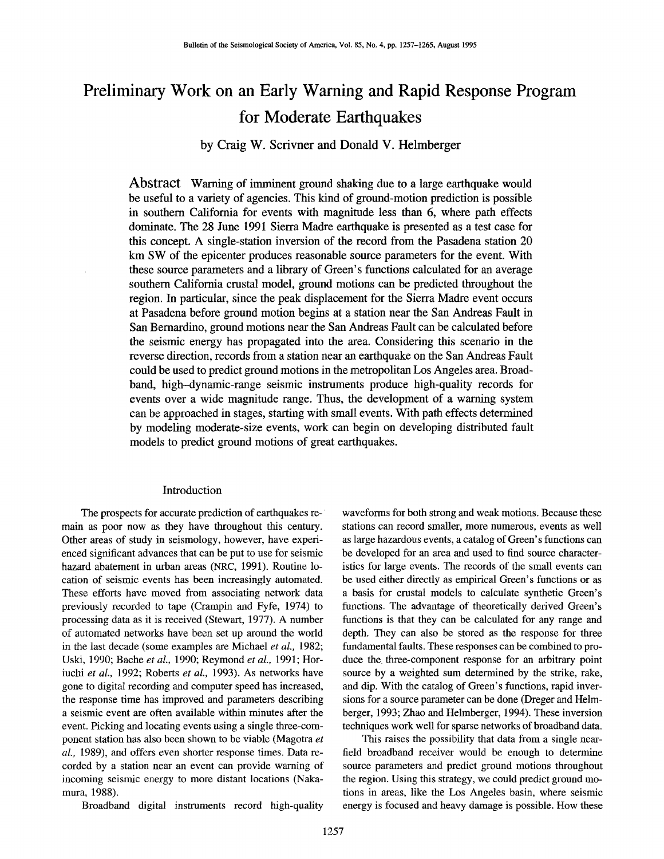# **Preliminary Work on an Early Warning and Rapid Response Program for Moderate Earthquakes**

## **by Craig W. Scrivner and Donald V. Helmberger**

Abstract Warning of imminent ground shaking due to a large earthquake would be useful to a variety of agencies. This kind of ground-motion prediction is possible in southern California for events with magnitude less than 6, where path effects dominate. The 28 June 1991 Sierra Madre earthquake is presented as a test case for this concept. A single-station inversion of the record from the Pasadena station 20 km SW of the epicenter produces reasonable source parameters for the event. With these source parameters and a library of Green's functions calculated for an average southern California crustal model, ground motions can be predicted throughout the region. In particular, since the peak displacement for the Sierra Madre event occurs at Pasadena before ground motion begins at a station near the San Andreas Fault in San Bernardino, ground motions near the San Andreas Fault can be calculated before the seismic energy has propagated into the area. Considering this scenario in the reverse direction, records from a station near an earthquake on the San Andreas Fault could be used to predict ground motions in the metropolitan Los Angeles area. Broadband, high--dynamic-range seismic instruments produce high-quality records for events over a wide magnitude range. Thus, the development of a warning system can be approached in stages, starting with small events. With path effects determined by modeling moderate-size events, work can begin on developing distributed fault models to predict ground motions of great earthquakes.

### Introduction

The prospects for accurate prediction of earthquakes remain as poor now as they have throughout this century. Other areas of study in seismology, however, have experienced significant advances that can be put to use for seismic hazard abatement in urban areas (NRC, 1991). Routine location of seismic events has been increasingly automated. These efforts have moved from associating network data previously recorded to tape (Crampin and Fyfe, 1974) to processing data as it is received (Stewart, 1977). A number of automated networks have been set up around the world in the last decade (some examples are Michael *et al.,* 1982; Uski, 1990; Bache *et al.,* 1990; Reymond *et aL,* 1991; Horiuchi *et aL,* 1992; Roberts *et al.,* 1993). As networks have gone to digital recording and computer speed has increased, the response time has improved and parameters describing a seismic event are often available within minutes after the event. Picking and locating events using a single three-component station has also been shown to be viable (Magotra *et al.,* 1989), and offers even shorter response times. Data recorded by a station near an event can provide warning of incoming seismic energy to more distant locations (Nakamura, 1988).

Broadband digital instruments record high-quality

waveforms for both strong and weak motions. Because these stations can record smaller, more numerous, events as well as large hazardous events, a catalog of Green's functions can be developed for an area and used to find source characteristics for large events. The records of the small events can be used either directly as empirical Green's functions or as a basis for crustal models to calculate synthetic Green's functions. The advantage of theoretically derived Green's functions is that they can be calculated for any range and depth. They can also be stored as the response for three fundamental faults. These responses can be combined to produce the three-component response for an arbitrary point source by a weighted sum determined by the strike, rake, and dip. With the catalog of Green's functions, rapid inversions for a source parameter can be done (Dreger and Helmberger, 1993; Zhao and Helmberger, 1994). These inversion techniques work well for sparse networks of broadband data.

This raises the possibility that data from a single nearfield broadband receiver would be enough to determine source parameters and predict ground motions throughout the region. Using this strategy, we could predict ground motions in areas, like the Los Angeles basin, where seismic energy is focused and heavy damage is possible. How these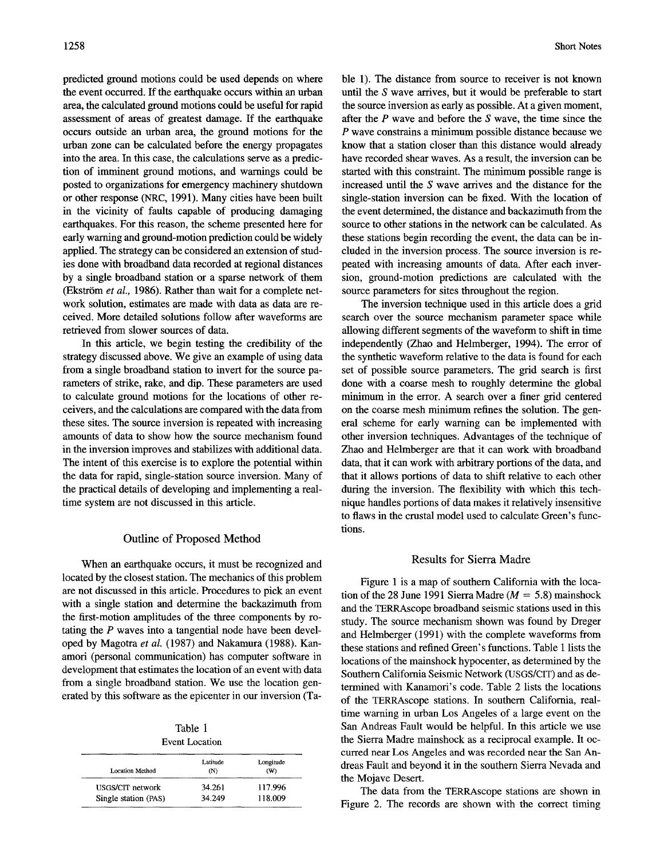predicted ground motions could be used depends on where the event occurred. If the earthquake occurs within an urban area, the calculated ground motions could be useful for rapid assessment of areas of greatest damage. If the earthquake occurs outside an urban area, the ground motions for the urban zone can be calculated before the energy propagates into the area. In this case, the calculations serve as a prediction of imminent ground motions, and warnings could be posted to organizations for emergency machinery shutdown or other response (NRC, 1991). Many cities have been built in the vicinity of faults capable of producing damaging earthquakes. For this reason, the scheme presented here for early warning and ground-motion prediction could be widely applied. The strategy can be considered an extension of studies done with broadband data recorded at regional distances by a single broadband station or a sparse network of them (Ekström et al., 1986). Rather than wait for a complete network solution, estimates are made with data as data are received. More detailed solutions follow after waveforms are retrieved from slower sources of data.

In this article, we begin testing the credibility of the strategy discussed above. We give an example of using data from a single broadband station to invert for the source parameters of strike, rake, and dip. These parameters are used to calculate ground motions for the locations of other receivers, and the calculations are compared with the data from these sites. The source inversion is repeated with increasing amounts of data to show how the source mechanism found in the inversion improves and stabilizes with additional data. The intent of this exercise is to explore the potential within the data for rapid, single-station source inversion. Many of the practical details of developing and implementing a realtime system are not discussed in this article.

#### Outline of Proposed Method

When an earthquake occurs, it must be recognized and located by the closest station. The mechanics of this problem are not discussed in this article. Procedures to pick an event with a single station and determine the backazimuth from the first-motion amplitudes of the three components by rotating the P waves into a tangential node have been developed by Magotra *et al.* (1987) and Nakamura (1988). Kanamori (personal communication) has computer software in development that estimates the location of an event with data from a single broadband station. We use the location generated by this software as the epicenter in our inversion (Ta-

Table 1 Event Location

| Location Method      | Latitude<br>(N) | Longitude<br>(W) |
|----------------------|-----------------|------------------|
| USGS/CIT network     | 34.261          | 117.996          |
| Single station (PAS) | 34.249          | 118.009          |

ble 1). The distance from source to receiver is not known until the S wave arrives, but it would be preferable to start the source inversion as early as possible. At a given moment, after the  $P$  wave and before the  $S$  wave, the time since the P wave constrains a minimum possible distance because we know that a station closer than this distance would already have recorded shear waves. As a result, the inversion can be started with this constraint. The minimum possible range is increased until the S wave arrives and the distance for the single-station inversion can be fixed. With the location of the event determined, the distance and backazimuth from the source to other stations in the network can be calculated. As these stations begin recording the event, the data can be included in the inversion process. The source inversion is repeated with increasing amounts of data. After each inversion, ground-motion predictions are calculated with the source parameters for sites throughout the region.

The inversion technique used in this article does a grid search over the source mechanism parameter space while allowing different segments of the waveform to shift in time independently (Zhao and Helmberger, 1994). The error of the synthetic waveform relative to the data is found for each set of possible source parameters. The grid search is first done with a coarse mesh to roughly determine the global minimum in the error. A search over a finer grid centered on the coarse mesh minimum refines the solution. The general scheme for early warning can be implemented with other inversion techniques. Advantages of the technique of Zhao and Helmberger are that it can work with broadband data, that it can work with arbitrary portions of the data, and that it allows portions of data to shift relative to each other during the inversion. The flexibility with which this technique handles portions of data makes it relatively insensitive to flaws in the crustal model used to calculate Green's functions.

#### Results for Sierra Madre

Figure 1 is a map of southern California with the location of the 28 June 1991 Sierra Madre ( $M = 5.8$ ) mainshock and the TERRAscope broadband seismic stations used in this study. The source mechanism shown was found by Dreger and Helmberger (1991) with the complete waveforms from these stations and refined Green's functions. Table 1 lists the locations of the mainshock hypocenter, as determined by the Southern California Seismic Network (USGS/CIT) and as determined with Kanamori's code. Table 2 lists the locations of the TERRAscope stations. In southern California, realtime warning in urban Los Angeles of a large event on the San Andreas Fault would be helpful. In this article we use the Sierra Madre mainshock as a reciprocal example. It occurred near Los Angeles and was recorded near the San Andreas Fault and beyond it in the southern Sierra Nevada and the Mojave Desert.

The data from the TERRAscope stations are shown in Figure 2. The records are shown with the correct timing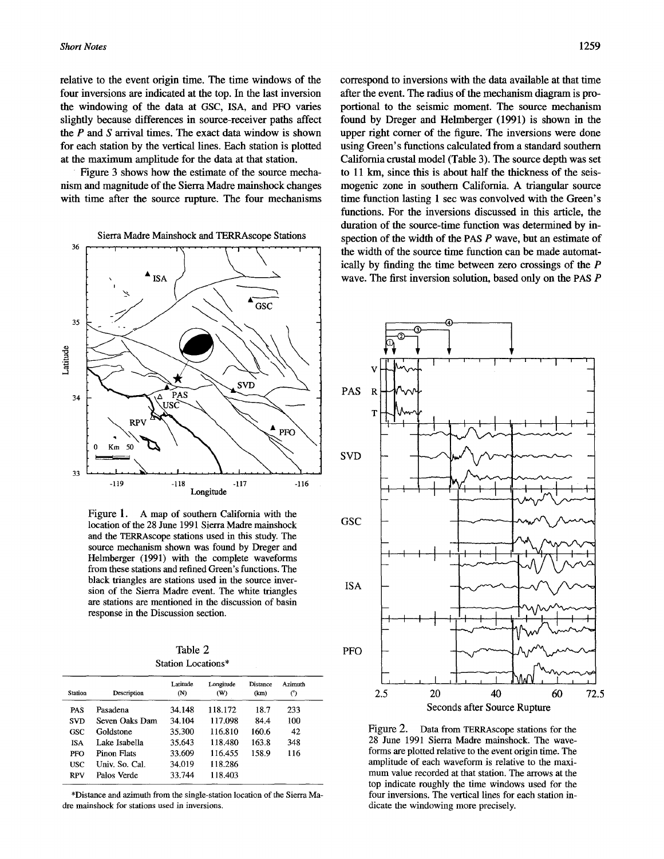relative to the event origin time. The time windows of the four inversions are indicated at the top. In the last inversion the windowing of the data at GSC, ISA, and PFO varies slightly because differences in source-receiver paths affect the  $P$  and  $S$  arrival times. The exact data window is shown for each station by the vertical lines. Each station is plotted at the maximum amplitude for the data at that station.

Figure 3 shows how the estimate of the source mechanism and magnitude of the Sierra Madre mainshock changes with time after the source rupture. The four mechanisms



Figure 1. A map of southern California with the location of the 28 June 1991 Sierra Madre mainshock and the TERRAscope stations used in this study. The source mechanism shown was found by Dreger and Helmberger (1991) with the complete waveforms from these stations and refined Green's functions. The black triangles are stations used in the source inversion of the Sierra Madre event. The white triangles are stations are mentioned in the discussion of basin response in the Discussion section,

Table 2 Station Locations\*

| <b>Station</b> | Description    | Latitude<br>(N) | Longitude<br>(W) | Distance<br>(km) | Azimuth<br>(°) |
|----------------|----------------|-----------------|------------------|------------------|----------------|
| PAS            | Pasadena       | 34.148          | 118.172          | 18.7             | 233            |
| <b>SVD</b>     | Seven Oaks Dam | 34.104          | 117.098          | 84.4             | 100            |
| GSC            | Goldstone      | 35.300          | 116.810          | 160.6            | 42             |
| <b>ISA</b>     | Lake Isabella  | 35.643          | 118.480          | 163.8            | 348            |
| PFO            | Pinon Flats    | 33.609          | 116.455          | 158.9            | 116            |
| <b>USC</b>     | Univ. So. Cal. | 34.019          | 118.286          |                  |                |
| <b>RPV</b>     | Palos Verde    | 33.744          | 118.403          |                  |                |

\*Distance and azimuth from the single-station location of the Sierra Madre mainshock for stations used in inversions.

correspond to inversions with the data available at that time after the event. The radius of the mechanism diagram is proporfional to the seismic moment. The source mechanism found by Dreger and Helmberger (1991) is shown in the upper right corner of the figure. The inversions were done using Green's functions calculated from a standard southern California crustal model (Table 3). The source depth was set to 11 km, since this is about half the thickness of the seismogenic zone in southern California. A triangular source time function lasting 1 sec was convolved with the Green's functions. For the inversions discussed in this article, the duration of the source-time function was determined by inspection of the width of the PAS  $P$  wave, but an estimate of the width of the source time function can be made automatically by finding the time between zero crossings of the P wave. The first inversion solution, based only on the PAS P



Figure 2. Data from TERRAscope stations for the 28 June 1991 Sierra Madre mainshock. The waveforms are plotted relative to the event origin time. The amplitude of each waveform is relative to the maximum value recorded at that station. The arrows at the top indicate roughly the time windows used for the four inversions. The vertical lines for each station indicate the windowing more precisely.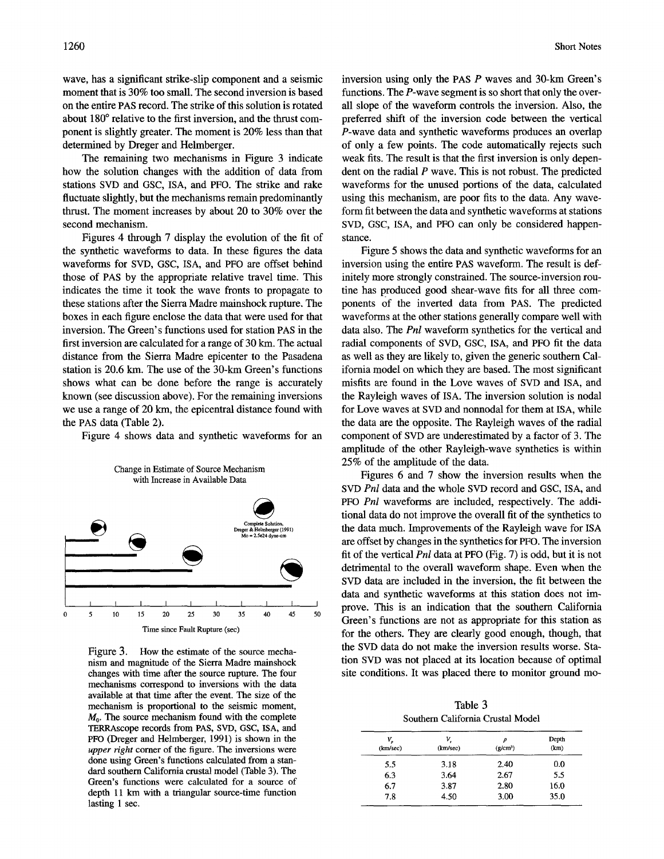wave, has a significant strike-slip component and a seismic moment that is 30% too small. The second inversion is based on the entire PAS record. The strike of this solution is rotated about 180° relative to the first inversion, and the thrust component is slightly greater. The moment is 20% less than that determined by Dreger and Helmberger.

The remaining two mechanisms in Figure 3 indicate how the solution changes with the addition of data from stations SVD and GSC, ISA, and PFO. The strike and rake fluctuate slightly, but the mechanisms remain predominantly thrust. The moment increases by about 20 to 30% over the second mechanism.

Figures 4 through 7 display the evolution of the fit of the synthetic waveforms to data. In these figures the data waveforms for SVD, GSC, ISA, and PFO are offset behind those of PAS by the appropriate relative travel time. This indicates the time it took the wave fronts to propagate to these stations after the Sierra Madre mainshock rupture. The boxes in each figure enclose the data that were used for that inversion. The Green's functions used for station PAS in the first inversion are calculated for a range of 30 km. The actual distance from the Sierra Madre epicenter to the Pasadena station is 20.6 km. The use of the 30-km Green's functions shows what can be done before the range is accurately known (see discussion above). For the remaining inversions we use a range of 20 km, the epicentral distance found with the PAS data (Table 2).

Figure 4 shows data and synthetic waveforms for an



Figure 3. How the estimate of the source mechanism and magnitude of the Sierra Madre mainshock changes with time after the source rupture. The four mechanisms correspond to inversions with the data available at that time after the event. The size of the mechanism is proportional to the seismic moment,  $M<sub>0</sub>$ . The source mechanism found with the complete TERRAscope records from PAS, SVD, GSC, ISA, and PFO (Dreger and Helmberger, 1991) is shown in the *upper right* corner of the figure. The inversions were done using Green's functions calculated from a standard southern California crustal model (Table 3). The Green's functions were calculated for a source of depth 11 km with a triangular source-time function lasting 1 sec.

inversion using only the PAS P waves and 30-km Green's functions. The P-wave segment is so short that only the overall slope of the waveform controls the inversion. Also, the preferred shift of the inversion code between the vertical P-wave data and synthetic waveforms produces an overlap of only a few points. The code automatically rejects such weak fits. The result is that the first inversion is only dependent on the radial  $P$  wave. This is not robust. The predicted waveforms for the unused portions of the data, calculated using this mechanism, are poor fits to the data. Any waveform fit between the data and synthetic waveforms at stations SVD, GSC, ISA, and PFO can only be considered happenstance.

Figure 5 shows the data and synthetic waveforms for an inversion using the entire PAS waveform. The result is definitely more strongly constrained. The source-inversion routine has produced good shear-wave fits for all three components of the inverted data from PAS. The predicted waveforms at the other stations generally compare well with data also. The *Pnl* waveform synthetics for the vertical and radial components of SVD, GSC, ISA, and PFO fit the data as well as they are likely to, given the generic southern California model on which they are based. The most significant misfits are found in the Love waves of SVD and ISA, and the Rayleigh waves of ISA. The inversion solution is nodal for Love waves at SVD and nonnodal for them at ISA, while the data are the opposite. The Rayleigh waves of the radial component of SVD are underestimated by a factor of 3. The amplitude of the other Rayleigh-wave synthetics is within 25% of the amplitude of the data.

Figures 6 and 7 show the inversion results when the SVD *Pnl* data and the whole SVD record and GSC, ISA, and PFO *Pnl* waveforms are included, respectively. The additional data do not improve the overall fit of the synthetics to the data much. Improvements of the Rayleigh wave for ISA are offset by changes in the synthetics for PFO. The inversion fit of the vertical *Pnl* data at PFO (Fig. 7) is odd, but it is not detrimental to the overall waveform shape. Even when the SVD data are included in the inversion, the fit between the data and synthetic waveforms at this station does not improve. This is an indication that the southern California Green's functions are not as appropriate for this station as for the others. They are clearly good enough, though, that the SVD data do not make the inversion results worse. Station SVD was not placed at its location because of optimal site conditions. It was placed there to monitor ground mo-

Table 3 Southern California Crustal Model

| V,<br>(km/sec) | V.<br>(km/sec) | Ω<br>(g/cm <sup>3</sup> ) | Depth<br>(km) |
|----------------|----------------|---------------------------|---------------|
| 5.5            | 3.18           | 2.40                      | 0.0           |
| 6.3            | 3.64           | 2.67                      | 5.5           |
| 6.7            | 3.87           | 2.80                      | 16.0          |
| 7.8            | 4.50           | 3.00                      | 35.0          |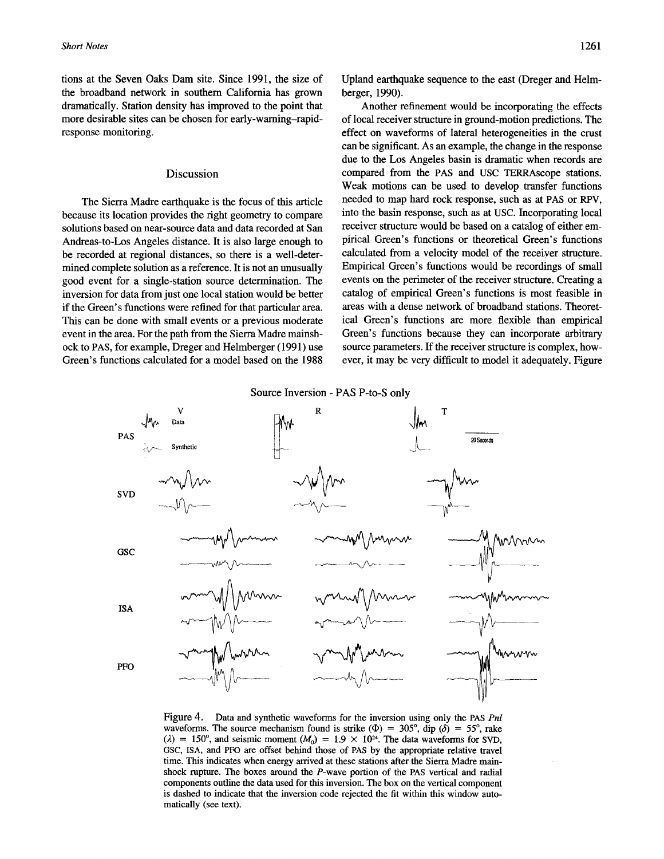tions at the Seven Oaks Dam site. Since 1991, the size of the broadband network in southern California has grown dramatically. Station density has improved to the point that more desirable sites can be chosen for early-warning-rapidresponse monitoring.

#### Discussion

The Sierra Madre earthquake is the focus of this article because its location provides the right geometry to compare solutions based on near-source data and data recorded at San Andreas-to-Los Angeles distance. It is also large enough to be recorded at regional distances, so there is a well-determined complete solution as a reference. It is not an unusually good event for a single-station source determination. The inversion for data from just one local station would be better if the Green's functions were refined for that particular area. This can be done with small events or a previous moderate event in the area. For the path from the Sierra Madre mainshock to PAS, for example, Dreger and Helmberger (1991) use Green's functions calculated for a model based on the 1988

Upland earthquake sequence to the east (Dreger and Helmberger, 1990).

Another refinement would be incorporating the effects of local receiver structure in ground-motion predictions. The effect on waveforms of lateral heterogeneities in the crust can be significant. As an example, the change in the response due to the Los Angeles basin is dramatic when records are compared from the PAS and USC TERRAscope stations. Weak motions can be used to develop transfer functions needed to map hard rock response, such as at PAS or RPV, into the basin response, such as at USC. Incorporating local receiver structure would be based on a catalog of either empirical Green's functions or theoretical Green's functions calculated from a velocity model of the receiver structure. Empirical Green's functions would be recordings of small events on the perimeter of the receiver structure. Creating a catalog of empirical Green's functions is most feasible in areas with a dense network of broadband stations. Theoretical Green's functions are more flexible than empirical Green's functions because they can incorporate arbitrary source parameters. If the receiver structure is complex, however, it may be very difficult to model it adequately. Figure





Figure 4. Data and synthetic waveforms for the inversion using only the PAS *Pnl*  waveforms. The source mechanism found is strike ( $\Phi$ ) = 305°, dip ( $\delta$ ) = 55°, rake ( $\lambda$ ) = 150°, and seismic moment ( $M_0$ ) = 1.9 × 10<sup>24</sup>. The data waveforms for SVD, GSC, ISA, and PFO are offset behind those of PAS by the appropriate relative travel time. This indicates when energy arrived at these stations after the Sierra Madre mainshock rupture. The boxes around the P-wave portion of the PAS vertical and radial components outline the data used for this inversion. The box on the vertical component is dashed to indicate that the inversion code rejected the fit within this window automatically (see text).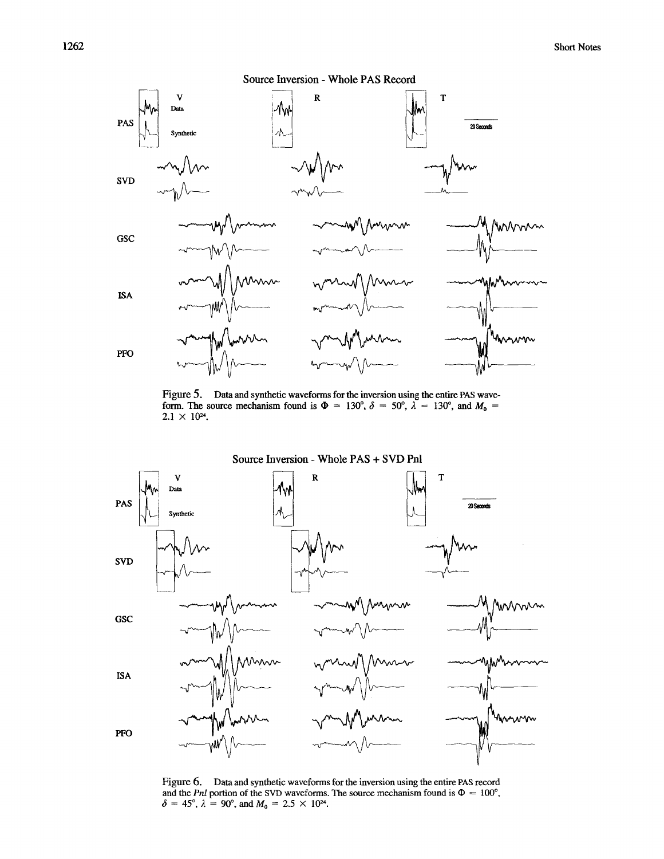

Figure 5. Data and synthetic waveforms for the inversion using the entire PAS waveform. The source mechanism found is  $\Phi = 130^{\circ}$ ,  $\delta = 50^{\circ}$ ,  $\lambda = 130^{\circ}$ , and  $M_0 =$  $2.1 \times 10^{24}$ .



Figure 6. Data and synthetic waveforms for the inversion using the entire PAS record and the *Pnl* portion of the SVD waveforms. The source mechanism found is  $\Phi = 100^{\circ}$ ,  $= 45^{\circ}, \lambda = 90^{\circ}$ , and  $M_0 = 2.5 \times 10^{24}$ .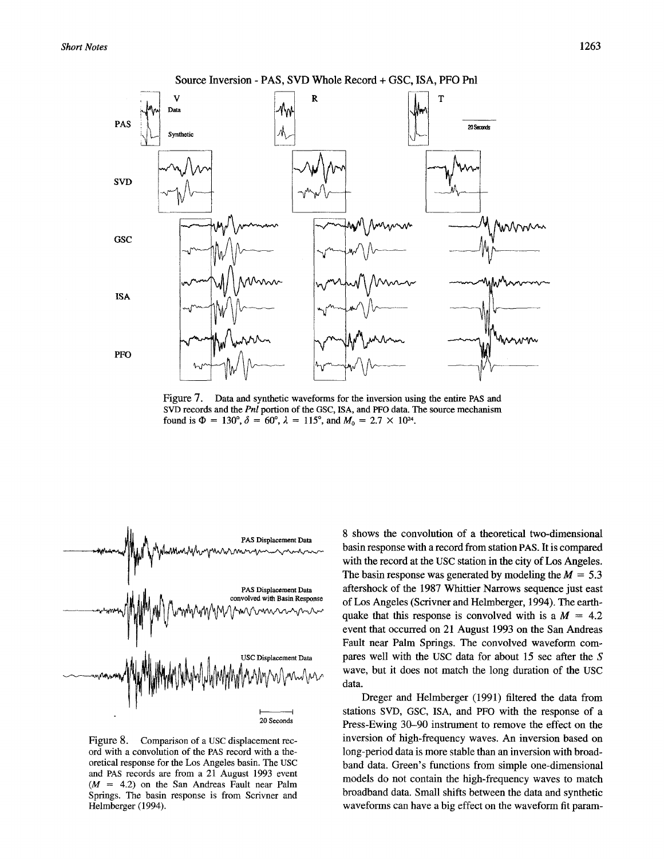*Short Notes* 1263



Figure 7. Data and synthetic waveforms for the inversion using the entire PAS and SVD records and the *Pnl* portion of the GSC, ISA, and PFO data. The source mechanism found is  $\Phi = 130^{\circ}, \delta = 60^{\circ}, \lambda = 115^{\circ}$ , and  $M_0 = 2.7 \times 10^{24}$ .



Figure 8. Comparison of a USC displacement record with a convolution of the PAS record with a theoretical response for the Los Angeles basin. The USC and PAS records are from a 21 August 1993 event  $(M = 4.2)$  on the San Andreas Fault near Palm Springs. The basin response is from Scrivner and Helmberger (1994).

8 shows the convolution of a theoretical two-dimensional basin response with a record from station PAS. It is compared with the record at the USC station in the city of Los Angeles. The basin response was generated by modeling the  $M = 5.3$ aftershock of the 1987 Whittier Narrows sequence just east of Los Angeles (Scrivner and Helmberger, 1994). The earthquake that this response is convolved with is a  $M = 4.2$ event that occurred on 21 August 1993 on the San Andreas Fault near Palm Springs. The convolved waveform compares well with the USC data for about 15 sec after the S wave, but it does not match the long duration of the USC data.

Dreger and Helmberger (1991) filtered the data from stations SVD, GSC, ISA, and PFO with the response of a Press-Ewing 30-90 instrument to remove the effect on the inversion of high-frequency waves. An inversion based on long-period data is more stable than an inversion with broadband data. Green's functions from simple one-dimensional models do not contain the high-frequency waves to match broadband data. Small shifts between the data and synthetic waveforms can have a big effect on the waveform fit param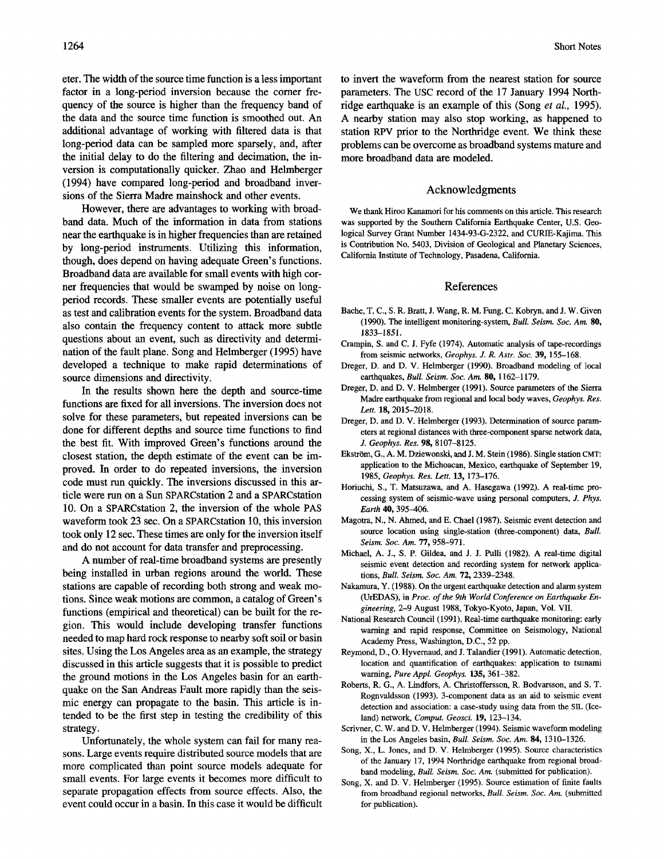eter. The width of the source time function is a less important factor in a long-period inversion because the comer frequency of the source is higher than the frequency band of the data and the source time function is smoothed out. An additional advantage of working with filtered data is that long-period data can be sampled more sparsely, and, after the initial delay to do the filtering and decimation, the inversion is computationally quicker. Zhao and Helmberger (1994) have compared long-period and broadband inversions of the Sierra Madre mainshock and other events.

However, there are advantages to working with broadband data. Much of the information in data from stations near the earthquake is in higher frequencies than are retained by long-period instruments. Utilizing this information, though, does depend on having adequate Green's functions. Broadband data are available for small events with high corner frequencies that would be swamped by noise on longperiod records. These smaller events are potentially useful as test and calibration events for the system. Broadband data also contain the frequency content to attack more subtle questions about an event, such as directivity and determination of the fault plane. Song and Helmberger (1995) have developed a technique to make rapid determinations of source dimensions and directivity.

In the results shown here the depth and source-time functions are fixed for all inversions. The inversion does not solve for these parameters, but repeated inversions can be done for different depths and source time functions to find the best fit. With improved Green's functions around the closest station, the depth estimate of the event can be improved. In order to do repeated inversions, the inversion code must run quickly. The inversions discussed in this article were run on a Sun SPARCstation 2 and a SPARCstation 10. On a SPARCstation 2, the inversion of the whole PAS waveform took 23 sec. On a SPARCstation 10, this inversion took only 12 sec. These times are only for the inversion itself and do not account for data transfer and preprocessing.

A number of real-time broadband systems are presently being installed in urban regions around the world. These stations are capable of recording both strong and weak motions. Since weak motions are common, a catalog of Green's functions (empirical and theoretical) can be built for the region. This would include developing transfer functions needed to map hard rock response to nearby soft soil or basin sites. Using the Los Angeles area as an example, the strategy discussed in this article suggests that it is possible to predict the ground motions in the Los Angeles basin for an earthquake on the San Andreas Fault more rapidly than the seismic energy can propagate to the basin. This article is intended to be the first step in testing the credibility of this strategy.

Unfortunately, the whole system can fail for many reasons. Large events require distributed source models that are more complicated than point source models adequate for small events. For large events it becomes more difficult to separate propagation effects from source effects. Also, the event could occur in a basin. In this case it would be difficult to invert the waveform from the nearest station for source parameters. The USC record of the 17 January 1994 Northridge earthquake is an example of this (Song *et al.,* 1995). A nearby station may also stop working, as happened to station RPV prior to the Northridge event. We think these problems can be overcome as broadband systems mature and more broadband data are modeled.

#### Acknowledgments

We thank Hiroo Kanamori for his comments on this article. This research was supported by the Southern California Earthquake Center, U.S. Geological Survey Grant Number 1434-93-G-2322, and CURIE-Kajima. This is Contribution No. 5403, Division of Geological and Planetary Sciences, California Institute of Technology, Pasadena, California.

#### References

- Bache, T. C., S. R. Bratt, J. Wang, R. M. Fung, C. Kobryn, and J. W. Given (1990). The intelligent monitoring-system, *Bull. Seism. Soc. Am.* 80, 1833-1851.
- Crampin, S. and C. J. Fyfe (1974). Automatic analysis of tape-recordings from seismic networks, *Geophys. J. R. Astr. Sac.* 39, 155-168.
- Dreger, D. and D, V. Helmberger (1990). Broadband modeling of local earthquakes, *Bull. Seism. Soc. Am.* 80, 1162-1179.
- Dreger, D. and D. V. Helmberger (1991). Source parameters of the Sierra Madre earthquake from regional and local body waves, *Geophys. Res.*  Lett. 18, 2015-2018.
- Dreger, D. and D. V. Hetmberger (1993). Determination of source parameters at regional distances with three-component sparse network data, *J. Geophys. Res.* 98, 8107-8125.
- Ekström, G., A. M. Dziewonski, and J. M. Stein (1986). Single station CMT: application to the Michoacan, Mexico, earthquake of September 19, 1985, *Geophys. Res. Lett.* 13, 173-176.
- Horiuchi, S., T. Matsuzawa, and A. Hasegawa (1992). A real-time processing system of seismic-wave using personal computers, J. *Phys. Earth* 40, 395-406.
- Magotra, N., N. Ahmed, and E. Chael (1987). Seismic event detection and source location using single-station (three-component) data, *Bull. Seism. Soc. Am.* 77, 958-971.
- Michael, A. J., S. P. Gildea, and J. J. Pulli (1982). A real-time digital seismic event detection and recording system for network applications, *Bull. Seism. Soc. Am.* 72, 2339-2348.
- Nakamura, Y. (1988). On the urgent earthquake detection and alarm system (UrEDAS), in *Proc. of the 9th World Conference on Earthquake Engineering,* 2-9 August 1988, Tokyo-Kyoto, Japan, Vol. VII.
- National Research Council (1991). Real-time earthquake monitoring: early warning and rapid response, Committee on Seismology, National Academy Press, Washington, D.C., 52 pp.
- Reymond, D., O. Hyvernaud, and J. Talandier (1991). Automatic detection, location and quantification of earthquakes: application to tsunami warning, *Pure Appl. Geophys.* 135, 361-382.
- Roberts, R. G., A. Lindfors, A. Christoffersson, R. Bodvarsson, and S. T. Rognvaldsson (1993). 3-component data as an aid to seismic event detection and association: a case-study using data from the SIL (Iceland) network, *Comput. Geosci.* 19, 123-134.
- Scrivner, C. W. and D. V. Helmberger (1994). Seismic waveform modeling in the Los Angeles basin, *Bull. Seism. Soc. Am.* 84, 1310-1326.
- Song, X., L. Jones, and D. V. Helmberger (1995). Source characteristics of the January 17, 1994 Northridge earthquake from regional broadband modeling, *Bull. Seism. Soc. Am.* (submitted for publication).
- Song, X. and D. V. Helmberger (1995). Source estimation of finite faults from broadband regional networks, *Bull. Seism. Soc. Am.* (submitted for publication).